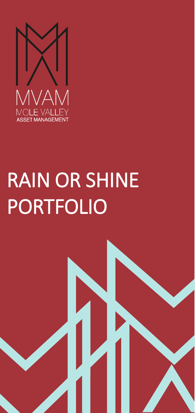

# RAIN OR SHINE PORTFOLIO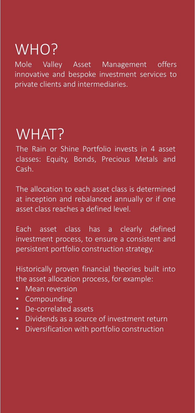## WHO?

Mole Valley Asset Management offers innovative and bespoke investment services to private clients and intermediaries.

### WHAT?

The Rain or Shine Portfolio invests in 4 asset classes: Equity, Bonds, Precious Metals and Cash.

The allocation to each asset class is determined at inception and rebalanced annually or if one asset class reaches a defined level.

Each asset class has a clearly defined investment process, to ensure a consistent and persistent portfolio construction strategy.

Historically proven financial theories built into the asset allocation process, for example:

- Mean reversion
- Compounding
- De-correlated assets
- Dividends as a source of investment return
- Diversification with portfolio construction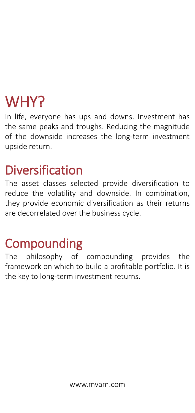### WHY?

In life, everyone has ups and downs. Investment has the same peaks and troughs. Reducing the magnitude of the downside increases the long-term investment upside return.

### Diversification

The asset classes selected provide diversification to reduce the volatility and downside. In combination, they provide economic diversification as their returns are decorrelated over the business cycle.

### **Compounding**

The philosophy of compounding provides the framework on which to build a profitable portfolio. It is the key to long-term investment returns.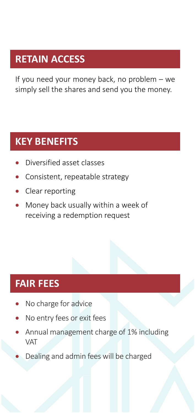#### **RETAIN ACCESS**

If you need your money back, no problem – we simply sell the shares and send you the money.

#### **KEY BENEFITS**

- Diversified asset classes
- Consistent, repeatable strategy
- Clear reporting
- Money back usually within a week of receiving a redemption request

#### **FAIR FEES**

- No charge for advice
- No entry fees or exit fees
- Annual management charge of 1% including VAT
- Dealing and admin fees will be charged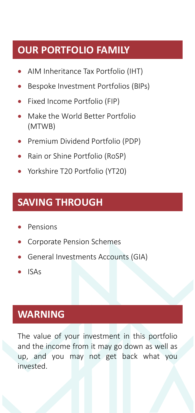#### **OUR PORTFOLIO FAMILY**

- AIM Inheritance Tax Portfolio (IHT)
- Bespoke Investment Portfolios (BIPs)
- Fixed Income Portfolio (FIP)
- Make the World Better Portfolio (MTWB)
- Premium Dividend Portfolio (PDP)
- Rain or Shine Portfolio (RoSP)
- Yorkshire T20 Portfolio (YT20)

#### **SAVING THROUGH**

- Pensions
- Corporate Pension Schemes
- General Investments Accounts (GIA)
- ISAs

#### **WARNING**

The value of your investment in this portfolio and the income from it may go down as well as up, and you may not get back what you invested.